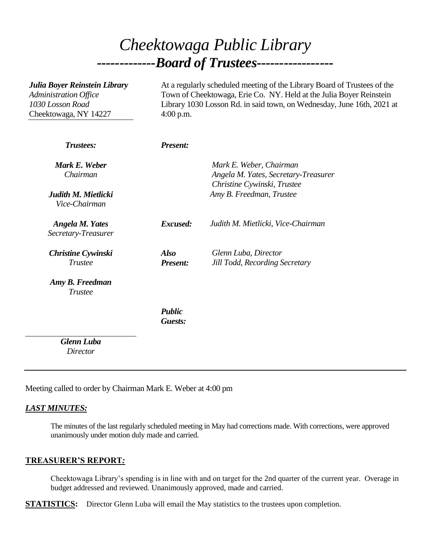# *Cheektowaga Public Library -------------Board of Trustees-----------------*

| Julia Boyer Reinstein Library<br><b>Administration Office</b><br>1030 Losson Road<br>Cheektowaga, NY 14227 | At a regularly scheduled meeting of the Library Board of Trustees of the<br>Town of Cheektowaga, Erie Co. NY. Held at the Julia Boyer Reinstein<br>Library 1030 Losson Rd. in said town, on Wednesday, June 16th, 2021 at<br>$4:00$ p.m. |                                                                                                |
|------------------------------------------------------------------------------------------------------------|------------------------------------------------------------------------------------------------------------------------------------------------------------------------------------------------------------------------------------------|------------------------------------------------------------------------------------------------|
| Trustees:                                                                                                  | <b>Present:</b>                                                                                                                                                                                                                          |                                                                                                |
| Mark E. Weber<br>Chairman                                                                                  |                                                                                                                                                                                                                                          | Mark E. Weber, Chairman<br>Angela M. Yates, Secretary-Treasurer<br>Christine Cywinski, Trustee |
| Judith M. Mietlicki<br>Vice-Chairman                                                                       |                                                                                                                                                                                                                                          | Amy B. Freedman, Trustee                                                                       |
| <b>Angela M. Yates</b><br>Secretary-Treasurer                                                              | Excused:                                                                                                                                                                                                                                 | Judith M. Mietlicki, Vice-Chairman                                                             |
| <b>Christine Cywinski</b><br><b>Trustee</b>                                                                | <b>Also</b><br><b>Present:</b>                                                                                                                                                                                                           | Glenn Luba, Director<br><b>Jill Todd, Recording Secretary</b>                                  |
| Amy B. Freedman<br><b>Trustee</b>                                                                          |                                                                                                                                                                                                                                          |                                                                                                |
|                                                                                                            | <b>Public</b><br>Guests:                                                                                                                                                                                                                 |                                                                                                |
| <b>Glenn Luba</b><br>Director                                                                              |                                                                                                                                                                                                                                          |                                                                                                |

Meeting called to order by Chairman Mark E. Weber at 4:00 pm

## *LAST MINUTES:*

The minutes of the last regularly scheduled meeting in May had corrections made. With corrections, were approved unanimously under motion duly made and carried.

#### **TREASURER'S REPORT***:*

Cheektowaga Library's spending is in line with and on target for the 2nd quarter of the current year. Overage in budget addressed and reviewed. Unanimously approved, made and carried.

**STATISTICS:** Director Glenn Luba will email the May statistics to the trustees upon completion.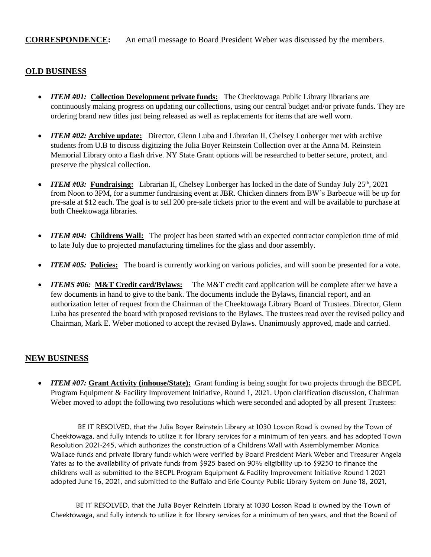### **OLD BUSINESS**

- *ITEM #01: Collection Development private funds: The Cheektowaga Public Library librarians are* continuously making progress on updating our collections, using our central budget and/or private funds. They are ordering brand new titles just being released as well as replacements for items that are well worn.
- *ITEM #02:* **Archive update:** Director, Glenn Luba and Librarian II, Chelsey Lonberger met with archive students from U.B to discuss digitizing the Julia Boyer Reinstein Collection over at the Anna M. Reinstein Memorial Library onto a flash drive. NY State Grant options will be researched to better secure, protect, and preserve the physical collection.
- *ITEM* #03: Fundraising: Librarian II, Chelsey Lonberger has locked in the date of Sunday July 25<sup>th</sup>, 2021 from Noon to 3PM, for a summer fundraising event at JBR. Chicken dinners from BW's Barbecue will be up for pre-sale at \$12 each. The goal is to sell 200 pre-sale tickets prior to the event and will be available to purchase at both Cheektowaga libraries.
- *ITEM #04:* Childrens Wall: The project has been started with an expected contractor completion time of mid to late July due to projected manufacturing timelines for the glass and door assembly.
- *ITEM #05:* **Policies:** The board is currently working on various policies, and will soon be presented for a vote.
- *ITEMS #06:* **M&T Credit card/Bylaws:** The M&T credit card application will be complete after we have a few documents in hand to give to the bank. The documents include the Bylaws, financial report, and an authorization letter of request from the Chairman of the Cheektowaga Library Board of Trustees. Director, Glenn Luba has presented the board with proposed revisions to the Bylaws. The trustees read over the revised policy and Chairman, Mark E. Weber motioned to accept the revised Bylaws. Unanimously approved, made and carried.

#### **NEW BUSINESS**

 *ITEM #07:* **Grant Activity (inhouse/State):** Grant funding is being sought for two projects through the BECPL Program Equipment & Facility Improvement Initiative, Round 1, 2021. Upon clarification discussion, Chairman Weber moved to adopt the following two resolutions which were seconded and adopted by all present Trustees:

BE IT RESOLVED, that the Julia Boyer Reinstein Library at 1030 Losson Road is owned by the Town of Cheektowaga, and fully intends to utilize it for library services for a minimum of ten years, and has adopted Town Resolution 2021-245, which authorizes the construction of a Childrens Wall with Assemblymember Monica Wallace funds and private library funds which were verified by Board President Mark Weber and Treasurer Angela Yates as to the availability of private funds from \$925 based on 90% eligibility up to \$9250 to finance the childrens wall as submitted to the BECPL Program Equipment & Facility Improvement Initiative Round 1 2021 adopted June 16, 2021, and submitted to the Buffalo and Erie County Public Library System on June 18, 2021,

BE IT RESOLVED, that the Julia Boyer Reinstein Library at 1030 Losson Road is owned by the Town of Cheektowaga, and fully intends to utilize it for library services for a minimum of ten years, and that the Board of